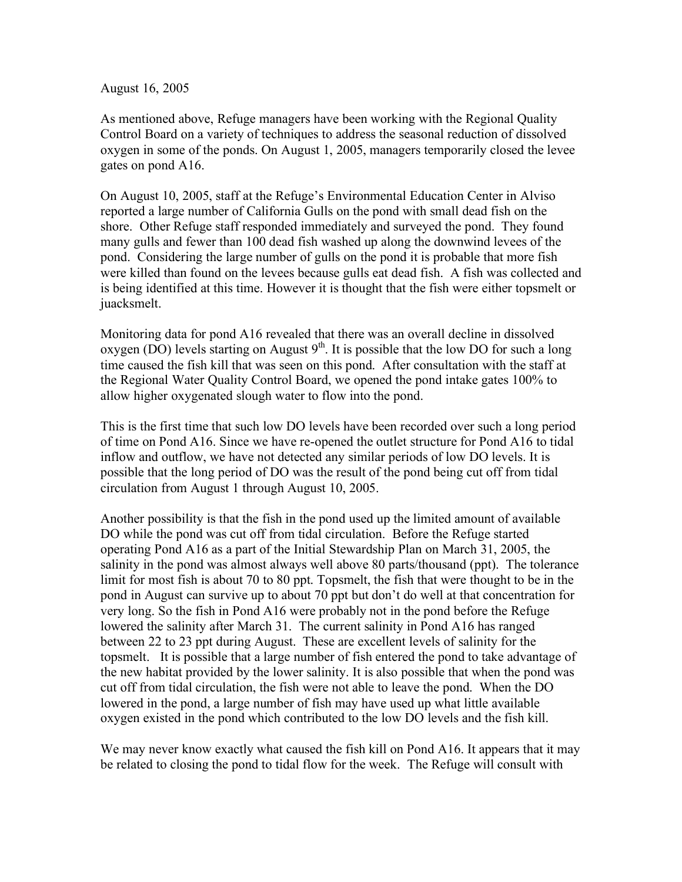August 16, 2005

As mentioned above, Refuge managers have been working with the Regional Quality Control Board on a variety of techniques to address the seasonal reduction of dissolved oxygen in some of the ponds. On August 1, 2005, managers temporarily closed the levee gates on pond A16.

On August 10, 2005, staff at the Refuge's Environmental Education Center in Alviso reported a large number of California Gulls on the pond with small dead fish on the shore. Other Refuge staff responded immediately and surveyed the pond. They found many gulls and fewer than 100 dead fish washed up along the downwind levees of the pond. Considering the large number of gulls on the pond it is probable that more fish were killed than found on the levees because gulls eat dead fish. A fish was collected and is being identified at this time. However it is thought that the fish were either topsmelt or juacksmelt.

Monitoring data for pond A16 revealed that there was an overall decline in dissolved oxygen ( $\overline{DO}$ ) levels starting on August 9<sup>th</sup>. It is possible that the low DO for such a long time caused the fish kill that was seen on this pond. After consultation with the staff at the Regional Water Quality Control Board, we opened the pond intake gates 100% to allow higher oxygenated slough water to flow into the pond.

This is the first time that such low DO levels have been recorded over such a long period of time on Pond A16. Since we have re-opened the outlet structure for Pond A16 to tidal inflow and outflow, we have not detected any similar periods of low DO levels. It is possible that the long period of DO was the result of the pond being cut off from tidal circulation from August 1 through August 10, 2005.

Another possibility is that the fish in the pond used up the limited amount of available DO while the pond was cut off from tidal circulation. Before the Refuge started operating Pond A16 as a part of the Initial Stewardship Plan on March 31, 2005, the salinity in the pond was almost always well above 80 parts/thousand (ppt). The tolerance limit for most fish is about 70 to 80 ppt. Topsmelt, the fish that were thought to be in the pond in August can survive up to about 70 ppt but don't do well at that concentration for very long. So the fish in Pond A16 were probably not in the pond before the Refuge lowered the salinity after March 31. The current salinity in Pond A16 has ranged between 22 to 23 ppt during August. These are excellent levels of salinity for the topsmelt. It is possible that a large number of fish entered the pond to take advantage of the new habitat provided by the lower salinity. It is also possible that when the pond was cut off from tidal circulation, the fish were not able to leave the pond. When the DO lowered in the pond, a large number of fish may have used up what little available oxygen existed in the pond which contributed to the low DO levels and the fish kill.

We may never know exactly what caused the fish kill on Pond A16. It appears that it may be related to closing the pond to tidal flow for the week. The Refuge will consult with